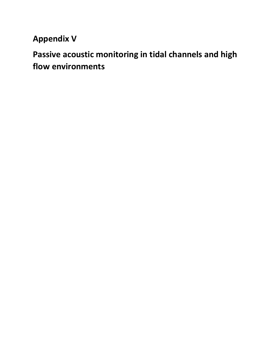## **Appendix V**

# **Passive acoustic monitoring in tidal channels and high flow environments**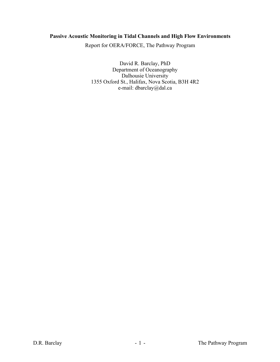### **Passive Acoustic Monitoring in Tidal Channels and High Flow Environments**

Report for OERA/FORCE, The Pathway Program

David R. Barclay, PhD Department of Oceanography Dalhousie University 1355 Oxford St., Halifax, Nova Scotia, B3H 4R2 e-mail: dbarclay@dal.ca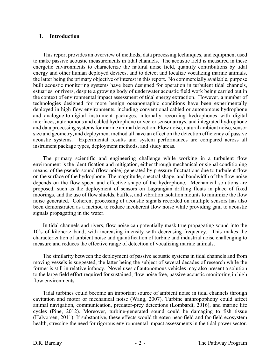#### **I. Introduction**

This report provides an overview of methods, data processing techniques, and equipment used to make passive acoustic measurements in tidal channels. The acoustic field is measured in these energetic environments to characterize the natural noise field, quantify contributions by tidal energy and other human deployed devices, and to detect and localize vocalizing marine animals, the latter being the primary objective of interest in this report. No commercially available, purpose built acoustic monitoring systems have been designed for operation in turbulent tidal channels, estuaries, or rivers, despite a growing body of underwater acoustic field work being carried out in the context of environmental impact assessment of tidal energy extraction. However, a number of technologies designed for more benign oceanographic conditions have been experimentally deployed in high flow environments, including conventional cabled or autonomous hydrophone and analogue-to-digital instrument packages, internally recording hydrophones with digital interfaces, autonomous and cabled hydrophone or vector sensor arrays, and integrated hydrophone and data processing systems for marine animal detection. Flow noise, natural ambient noise, sensor size and geometry, and deployment method all have an effect on the detection efficiency of passive acoustic systems. Experimental results and system performances are compared across all instrument package types, deployment methods, and study areas.

The primary scientific and engineering challenge while working in a turbulent flow environment is the identification and mitigation, either through mechanical or signal conditioning means, of the pseudo-sound (flow noise) generated by pressure fluctuations due to turbulent flow on the surface of the hydrophone. The magnitude, spectral shape, and bandwidth of the flow noise depends on the flow speed and effective shape of the hydrophone. Mechanical solutions are proposed, such as the deployment of sensors on Lagrangian drifting floats in place of fixed moorings, and the use of flow shields, baffles, and vibration isolation mounts to minimize the flow noise generated. Coherent processing of acoustic signals recorded on multiple sensors has also been demonstrated as a method to reduce incoherent flow noise while providing gain to acoustic signals propagating in the water.

In tidal channels and rivers, flow noise can potentially mask true propagating sound into the 10's of kilohertz band, with increasing intensity with decreasing frequency. This makes the characterization of ambient noise and quantification of turbine and industrial noise challenging to measure and reduces the effective range of detection of vocalizing marine animals.

The similarity between the deployment of passive acoustic systems in tidal channels and from moving vessels is suggested, the latter being the subject of several decades of research while the former is still in relative infancy. Novel uses of autonomous vehicles may also present a solution to the large field effort required for sustained, flow noise free, passive acoustic monitoring in high flow environments.

Tidal turbines could become an important source of ambient noise in tidal channels through cavitation and motor or mechanical noise (Wang, 2007). Turbine anthropophony could affect animal navigation, communication, predator-prey detections (Lombardi, 2016), and marine life cycles (Pine, 2012). Moreover, turbine-generated sound could be damaging to fish tissue (Halvorsen, 2011). If substantive, these effects would threaten near-field and far-field ecosystem health, stressing the need for rigorous environmental impact assessments in the tidal power sector.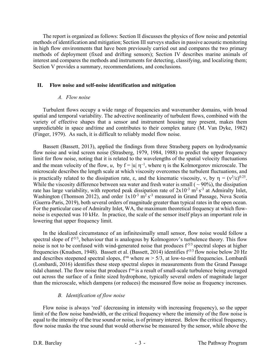The report is organized as follows: Section II discusses the physics of flow noise and potential methods of identification and mitigation; Section III surveys studies in passive acoustic monitoring in high flow environments that have been previously carried out and compares the two primary methods of deployment (fixed and drifting sensors); Section IV describes marine animals of interest and compares the methods and instruments for detecting, classifying, and localizing them; Section V provides a summary, recommendations, and conclusions.

#### **II. Flow noise and self-noise identification and mitigation**

#### *A. Flow noise*

Turbulent flows occupy a wide range of frequencies and wavenumber domains, with broad spatial and temporal variability. The advective nonlinearity of turbulent flows, combined with the variety of effective shapes that a sensor and instrument housing may present, makes them unpredictable in space and time and contributes to their complex nature (M. Van Dyke, 1982) (Finger, 1979). As such, it is difficult to reliably model flow noise.

Bassett (Bassett, 2013), applied the findings from three Strasberg papers on hydrodynamic flow noise and wind screen noise (Strasberg, 1979, 1984, 1988) to predict the upper frequency limit for flow noise, noting that it is related to the wavelengths of the spatial velocity fluctuations and the mean velocity of the flow, *u*, by  $f = |u| \eta^{-1}$ , where  $\eta$  is the Kolmorgorov microscale. The microscale describes the length scale at which viscosity overcomes the turbulent fluctuations, and is practically related to the dissipation rate,  $\varepsilon$ , and the kinematic viscosity,  $v$ , by  $\eta = (v^3/\varepsilon)^{0.25}$ . While the viscosity difference between sea water and fresh water is small ( $\sim$ 90%), the dissipation rate has large variability, with reported peak dissipation rate of  $2x10^{-3}$  m<sup>2</sup> s<sup>-3</sup> at Admiralty Inlet, Washington (Thomson 2012), and order  $1x10^{-3}$  m<sup>2</sup> s<sup>-3</sup> measured in Grand Passage, Nova Scotia (Guerra-Paris, 2019), both several orders of magnitude greater than typical rates in the open ocean. For the particular case of Admiralty Inlet, WA, the maximum theoretical frequency at which flownoise is expected was 10 kHz. In practice, the scale of the sensor itself plays an important role in lowering that upper frequency limit.

In the idealized circumstance of an infinitesimally small sensor, flow noise would follow a spectral slope of  $f^{5/3}$ , behaviour that is analogous by Kolmogorov's turbulence theory. This flow noise is not to be confused with wind-generated noise that produces f<sup>5/3</sup> spectral slopes at higher frequencies (Knudsen, 1948). Bassett et al. (Bassett, 2014) identifies f<sup>5/3</sup> flow noise below 20 Hz and describes steepened spectral slopes,  $f<sup>m</sup>$  where  $m > 5/3$ , at low-to-mid frequencies. Lombardi (Lombardi, 2016) identifies these steep spectral slopes in measurements from the Grand Passage tidal channel. The flow noise that produces  $f<sup>m</sup>$  is a result of small-scale turbulence being averaged out across the surface of a finite sized hydrophone, typically several orders of magnitude larger than the microscale, which dampens (or reduces) the measured flow noise as frequency increases.

#### *B. Identification of flow noise*

Flow noise is always 'red' (decreasing in intensity with increasing frequency), so the upper limit of the flow noise bandwidth, or the critical frequency where the intensity of the flow noise is equal to the intensity of the true sound or noise, is of primary interest. Below the critical frequency, flow noise masks the true sound that would otherwise be measured by the sensor, while above the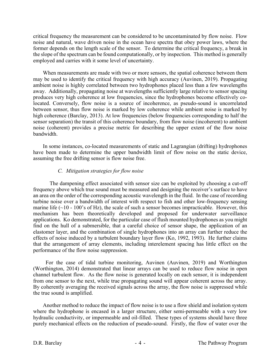critical frequency the measurement can be considered to be uncontaminated by flow noise. Flow noise and natural, wave driven noise in the ocean have spectra that obey power laws, where the former depends on the length scale of the sensor. To determine the critical frequency, a break in the slope of the spectrum can be found computationally, or by inspection. This method is generally employed and carries with it some level of uncertainty.

When measurements are made with two or more sensors, the spatial coherence between them may be used to identify the critical frequency with high accuracy (Auvinen, 2019). Propagating ambient noise is highly correlated between two hydrophones placed less than a few wavelengths away. Additionally, propagating noise at wavelengths sufficiently large relative to sensor spacing produces very high coherence at low frequencies, since the hydrophones become effectively colocated. Conversely, flow noise is a source of incoherence, as pseudo-sound is uncorrelated between sensor, thus flow noise is marked by low coherence while ambient noise is marked by high coherence (Barclay, 2013). At low frequencies (below frequencies corresponding to half the sensor separation) the transit of this coherence boundary, from flow noise (incoherent) to ambient noise (coherent) provides a precise metric for describing the upper extent of the flow noise bandwidth.

In some instances, co-located measurements of static and Lagrangian (drifting) hydrophones have been made to determine the upper bandwidth limit of flow noise on the static device, assuming the free drifting sensor is flow noise free.

#### *C. Mitigation strategies for flow noise*

The dampening effect associated with sensor size can be exploited by choosing a cut-off frequency above which true sound must be measured and designing the receiver's surface to have an area on the order of the corresponding acoustic wavelength in the fluid. In the case of recording turbine noise over a bandwidth of interest with respect to fish and other low-frequency sensing marine life  $(\sim 10 - 100)$ 's of Hz), the scale of such a sensor becomes impracticable. However, this mechanism has been theoretically developed and proposed for underwater surveillance applications. Ko demonstrated, for the particular case of flush mounted hydrophones as you might find on the hull of a submersible, that a careful choice of sensor shape, the application of an elastomer layer, and the combination of single hydrophones into an array can further reduce the effects of noise induced by a turbulent boundary layer flow (Ko, 1992, 1993). He further claims that the arrangement of array elements, including interelement spacing has little effect on the performance of the flow noise suppression.

 For the case of tidal turbine monitoring, Auvinen (Auvinen, 2019) and Worthington (Worthington, 2014) demonstrated that linear arrays can be used to reduce flow noise in open channel turbulent flow. As the flow noise is generated locally on each sensor, it is independent from one sensor to the next, while true propagating sound will appear coherent across the array. By coherently averaging the received signals across the array, the flow noise is suppressed while the true sound is amplified.

Another method to reduce the impact of flow noise is to use a flow shield and isolation system where the hydrophone is encased in a larger structure, either semi-permeable with a very low hydraulic conductivity, or impermeable and oil-filled. These types of systems should have three purely mechanical effects on the reduction of pseudo-sound. Firstly, the flow of water over the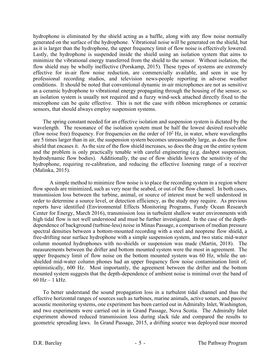hydrophone is eliminated by the shield acting as a baffle, along with any flow noise normally generated on the surface of the hydrophone. Vibrational noise will be generated on the shield, but as it is larger than the hydrophone, the upper frequency limit of flow noise is effectively lowered. Lastly, the hydrophone is suspended inside the shield using an isolation system that aims to minimize the vibrational energy transferred from the shield to the sensor. Without isolation, the flow shield may be wholly ineffective (Porskamp, 2015). These types of systems are extremely effective for in-air flow noise reduction, are commercially available, and seen in use by professional recording studios, and television news-people reporting in adverse weather conditions. It should be noted that conventional dynamic in-air microphones are not as sensitive as a ceramic hydrophone to vibrational energy propagating through the housing of the sensor, so an isolation system is usually not required and a fuzzy wind-sock attached directly fixed to the microphone can be quite effective. This is not the case with ribbon microphones or ceramic sensors, that should always employ suspension systems.

The spring constant needed for an effective isolation and suspension system is dictated by the wavelength. The resonance of the isolation system must be half the lowest desired resolvable (flow noise free) frequency. For frequencies on the order of  $10^2$  Hz, in water, where wavelengths are 5 times larger than in air, the suspension system becomes unreasonably large, as does the flow shield that encases it. As the size of the flow shield increases, so does the drag on the entire system and the problem is only practically tenable with careful engineering (e.g. dashpot suspension, hydrodynamic flow bodies). Additionally, the use of flow shields lowers the sensitivity of the hydrophone, requiring re-calibration, and reducing the effective listening range of a receiver (Malinka, 2015).

A simple method to minimize flow noise is to place the recording system in a region where flow speeds are minimized, such as very near the seabed, or out of the flow channel. In both cases, transmission loss between the turbine, animal, or source of interest must be well understood in order to determine a source level, or detection efficiency, as the study may require. As previous reports have identified (Environmental Effects Monitoring Programs, Fundy Ocean Research Center for Energy, March 2016), transmission loss in turbulent shallow water environments with high tidal flow is not well understood and must be further investigated. In the case of the depthdependence of background (turbine-less) noise in Minas Passage, a comparison of median pressure spectral densities between a bottom-mounted recording with a steel and neoprene flow shield, a free-drifting near surface hydrophone with a simple suspension system, and two static mid-water column mounted hydrophones with no-shields or suspension was made (Martin, 2018). The measurements between the drifter and bottom mounted system were the most in agreement. The upper frequency limit of flow noise on the bottom mounted system was 60 Hz, while the unshielded mid-water column phones had an upper frequency flow noise contamination limit of, optimistically, 600 Hz. Most importantly, the agreement between the drifter and the bottom mounted system suggests that the depth-dependence of ambient noise is minimal over the band of  $60 \text{ Hz} - 1 \text{ kHz}$ .

To better understand the sound propagation loss in a turbulent tidal channel and thus the effective horizontal ranges of sources such as turbines, marine animals, active sonars, and passive acoustic monitoring systems, one experiment has been carried out in Admiralty Inlet, Washington, and two experiments were carried out in in Grand Passage, Nova Scotia. The Admiralty Inlet experiment showed reduced transmission loss during slack tide and compared the results to geometric spreading laws. In Grand Passage, 2015, a drifting source was deployed near moored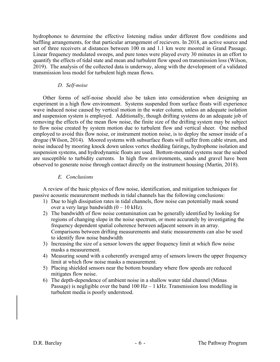hydrophones to determine the effective listening radius under different flow conditions and baffling arrangements, for that particular arrangement of recievers. In 2018, an active source and set of three receivers at distances between 100 m and 1.1 km were moored in Grand Passage. Linear frequency modulated sweeps, and pure tones were played every 30 minutes in an effort to quantify the effects of tidal state and mean and turbulent flow speed on transmission loss (Wilson, 2019). The analysis of the collected data is underway, along with the development of a validated transmission loss model for turbulent high mean flows.

#### *D. Self-noise*

Other forms of self-noise should also be taken into consideration when designing an experiment in a high flow environment. Systems suspended from surface floats will experience wave induced noise caused by vertical motion in the water column, unless an adequate isolation and suspension system is employed. Additionally, though drifting systems do an adequate job of removing the effects of the mean flow noise, the finite size of the drifting system may be subject to flow noise created by system motion due to turbulent flow and vertical sheer. One method employed to avoid this flow noise, or instrument motion noise, is to deploy the sensor inside of a drogue (Wilson, 2014). Moored systems with subsurface floats will suffer from cable strum, and noise induced by mooring knock down unless vortex shedding fairings, hydrophone isolation and suspension systems, and hydrodynamic floats are used. Bottom-mounted systems near the seabed are susceptible to turbidity currents. In high flow environments, sands and gravel have been observed to generate noise through contact directly on the instrument housing (Martin, 2018).

#### *E. Conclusions*

A review of the basic physics of flow noise, identification, and mitigation techniques for passive acoustic measurement methods in tidal channels has the following conclusions:

- 1) Due to high dissipation rates in tidal channels, flow noise can potentially mask sound over a very large bandwidth  $(0 - 10$  kHz).
- 2) The bandwidth of flow noise contamination can be generally identified by looking for regions of changing slope in the noise spectrum, or more accurately by investigating the frequency dependent spatial coherence between adjacent sensors in an array. Comparisons between drifting measurements and static measurements can also be used to identify flow noise bandwidth
- 3) Increasing the size of a sensor lowers the upper frequency limit at which flow noise masks a measurement.
- 4) Measuring sound with a coherently averaged array of sensors lowers the upper frequency limit at which flow noise masks a measurement.
- 5) Placing shielded sensors near the bottom boundary where flow speeds are reduced mitigates flow noise.
- 6) The depth-dependence of ambient noise in a shallow water tidal channel (Minas Passage) is negligible over the band  $100$  Hz  $-1$  kHz. Transmission loss modelling in turbulent media is poorly understood.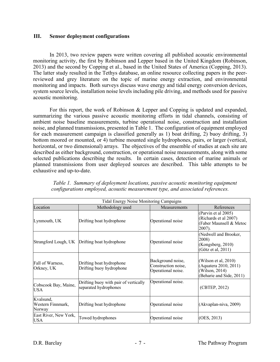#### **III. Sensor deployment configurations**

In 2013, two review papers were written covering all published acoustic environmental monitoring activity, the first by Robinson and Lepper based in the United Kingdom (Robinson, 2013) and the second by Copping et al., based in the United States of America (Copping, 2013). The latter study resulted in the Tethys database, an online resource collecting papers in the peerreviewed and grey literature on the topic of marine energy extraction, and environmental monitoring and impacts. Both surveys discuss wave energy and tidal energy conversion devices, system source levels, installation noise levels including pile driving, and methods used for passive acoustic monitoring.

For this report, the work of Robinson & Lepper and Copping is updated and expanded, summarizing the various passive acoustic monitoring efforts in tidal channels, consisting of ambient noise baseline measurements, turbine operational noise, construction and installation noise, and planned transmissions, presented in Table 1. The configuration of equipment employed for each measurement campaign is classified generally as 1) boat drifting, 2) buoy drifting, 3) bottom moored or mounted, or 4) turbine mounted single hydrophones, pairs, or larger (vertical, horizontal, or two dimensional) arrays. The objectives of the ensemble of studies at each site are described as either background, construction, or operational noise measurements, along with some selected publications describing the results. In certain cases, detection of marine animals or planned transmissions from user deployed sources are described. This table attempts to be exhaustive and up-to-date.

| Tidal Energy Noise Monitoring Campaigns  |                                                                |                                                                |                                                                                                |  |  |
|------------------------------------------|----------------------------------------------------------------|----------------------------------------------------------------|------------------------------------------------------------------------------------------------|--|--|
| Location                                 | Methodology used                                               | <b>Measurements</b>                                            | References                                                                                     |  |  |
| Lynmouth, UK                             | Drifting boat hydrophone                                       | Operational noise                                              | (Parvin et al 2005)<br>(Richards et al 2007)<br>(Faber Maunsell & Metoc<br>2007).              |  |  |
|                                          | Strangford Lough, UK Drifting boat hydrophone                  | Operational noise                                              | (Nedwell and Brooker,<br>2008)<br>(Kongsberg, 2010)<br>(Götz et al, 2011)                      |  |  |
| Fall of Warness,<br>Orkney, UK           | Drifting boat hydrophone<br>Drifting buoy hydrophone           | Background noise,<br>Construction noise,<br>Operational noise. | (Wilson et al, $2010$ )<br>(Aquatera 2010, 2011)<br>(Wilson, 2014)<br>(Beharie and Side, 2011) |  |  |
| Cobscook Bay, Maine,<br><b>USA</b>       | Drifting buoy with pair of vertically<br>separated hydrophones | Operational noise.                                             | (CBTEP, 2012)                                                                                  |  |  |
| Kvalsund,<br>Western Finnmark,<br>Norway | Drifting boat hydrophone                                       | Operational noise                                              | (Akvaplan-niva, 2009)                                                                          |  |  |
| East River, New York,<br><b>USA</b>      | Towed hydrophones                                              | Operational noise                                              | (OES, 2013)                                                                                    |  |  |

*Table 1. Summary of deployment locations, passive acoustic monitoring equipment configurations employed, acoustic measurement type, and associated references.*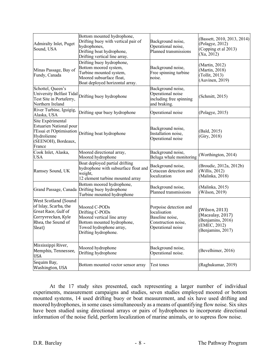| Admiralty Inlet, Puget<br>Sound, USA                                                                                              | Bottom mounted hydrophone,<br>Drifting buoy with vertical pair of<br>hydrophones,<br>Drifting boat hydrophone,<br>Drifting vertical line array. | Background noise,<br>Operational noise,<br>Planned transmissions                                      | (Bassett, 2010, 2013, 2014)<br>(Polagye, 2012)<br>(Copping et al 2013)<br>(Xu, 2012)         |
|-----------------------------------------------------------------------------------------------------------------------------------|-------------------------------------------------------------------------------------------------------------------------------------------------|-------------------------------------------------------------------------------------------------------|----------------------------------------------------------------------------------------------|
| Minas Passage, Bay of<br>Fundy, Canada                                                                                            | Drifting buoy hydrophone,<br>Bottom moored system,<br>Turbine mounted system,<br>Moored subsurface float,<br>Boat deployed horizontal array.    | Background noise,<br>Free spinning turbine<br>noise.                                                  | (Martin, 2012)<br>(Martin, 2018)<br>(Tollit, 2013)<br>(Auvinen, 2019)                        |
| Schottel, Queen's<br>University Belfast Tidal<br>Test Site in Portaferry,<br>Northern Ireland                                     | Drifting buoy hydrophone                                                                                                                        | Background noise,<br>Operational noise<br>including free spinning<br>and braking.                     | (Schmitt, 2015)                                                                              |
| River Turbine, Iguigig,<br>Alaska, USA                                                                                            | Drifting spar buoy hydrophone                                                                                                                   | Operational noise                                                                                     | (Polagye, 2015)                                                                              |
| Site Expérimental<br><b>Estuarien National pour</b><br>l'Essai et l'Optimisation<br>Hydrolienne<br>(SEENOH), Bordeaux,<br>France  | Drifting boat hydrophone                                                                                                                        | Background noise,<br>Installation noise,<br>Operational noise                                         | (Bald, 2015)<br>(Giry, 2018)                                                                 |
| Cook Inlet, Alaska,<br>USA                                                                                                        | Moored directional array,<br>Moored hydrophone                                                                                                  | Background noise,<br>Beluga whale monitoring                                                          | (Worthington, 2014)                                                                          |
| Ramsey Sound, UK                                                                                                                  | Boat deployed partial drifting<br>hydrophone with subsurface float and<br>weight,<br>12 element turbine mounted array                           | Background noise,<br>Cetacean detection and<br>localization                                           | (Broudic, 2012a, 2012b)<br>(Willis, 2012)<br>(Malinka, 2018)                                 |
|                                                                                                                                   | Bottom moored hydrophone,<br>Grand Passage, Canada Drifting buoy hydrophone<br>Turbine mounted hydrophone                                       | Background noise,<br>Planned transmissions                                                            | (Malinka, 2015)<br>(Wilson, 2019)                                                            |
| <b>West Scotland (Sound</b><br>of Islay, Scarba, the<br>Great Race, Gulf of<br>Corryvreckan, Kyle<br>Rhea, the Sound of<br>Sleat) | Moored C-PODs<br>Drifting C-PODs<br>Moored vertical line array<br>Bottom mounted hydrophone,<br>Towed hydrophone array,<br>Drifting hydrophone. | Porpoise detection and<br>localisation<br>Baseline noise,<br>Construction noise,<br>Operational noise | (Wilson, 2013)<br>(Macaulay, 2017)<br>(Benjamins, 2016)<br>(EMEC, 2012)<br>(Benjamins, 2017) |
| Mississippi River,<br>Memphis, Tennessee,<br><b>USA</b>                                                                           | Moored hydrophone<br>Drifting hydrophone                                                                                                        | Background noise,<br>Operational noise.                                                               | (Bevelhimer, 2016)                                                                           |
| Sequim Bay,<br>Washington, USA                                                                                                    | Bottom mounted vector sensor array                                                                                                              | Test tones                                                                                            | (Raghukumar, 2019)                                                                           |

At the 17 study sites presented, each representing a larger number of individual experiments, measurement campaigns and studies, seven studies employed moored or bottom mounted systems, 14 used drifting buoy or boat measurement, and six have used drifting and moored hydrophones, in some cases simultaneously as a means of quantifying flow noise. Six sites have been studied using directional arrays or pairs of hydrophones to incorporate directional information of the noise field, perform localization of marine animals, or to supress flow noise.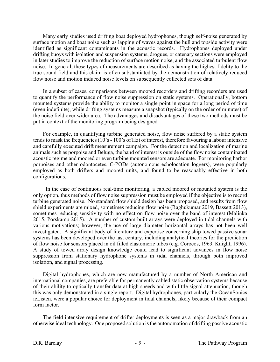Many early studies used drifting boat deployed hydrophones, though self-noise generated by surface motion and boat noise such as lapping of waves against the hull and topside activity were identified as significant contaminants in the acoustic records. Hydrophones deployed under drifting buoys with isolation and suspension systems, drogues, or catenary sections were employed in later studies to improve the reduction of surface motion noise, and the associated turbulent flow noise. In general, these types of measurements are described as having the highest fidelity to the true sound field and this claim is often substantiated by the demonstration of relatively reduced flow noise and motion induced noise levels on subsequently collected sets of data.

In a subset of cases, comparisons between moored recorders and drifting recorders are used to quantify the performance of flow noise suppression on static systems. Operationally, bottom mounted systems provide the ability to monitor a single point in space for a long period of time (even indefinite), while drifting systems measure a snapshot (typically on the order of minutes) of the noise field over wider area. The advantages and disadvantages of these two methods must be put in context of the monitoring program being designed.

For example, in quantifying turbine generated noise, flow noise suffered by a static system tends to mask the frequencies (10's - 100's of Hz) of interest, therefore favouring a labour intensive and carefully executed drift measurement campaign. For the detection and localization of marine animals such as porpoise and Beluga, the band of interest is outside of the flow noise contaminated acoustic regime and moored or even turbine mounted sensors are adequate. For monitoring harbor porpoises and other odontocetes, C-PODs (autonomous echolocation loggers), were popularly employed as both drifters and moored units, and found to be reasonably effective in both configurations.

 In the case of continuous real-time monitoring, a cabled moored or mounted system is the only option, thus methods of flow noise suppression must be employed if the objective is to record turbine generated noise. No standard flow shield design has been proposed, and results from flow shield experiments are mixed, sometimes reducing flow noise (Raghukumar 2019, Bassett 2013), sometimes reducing sensitivity with no effect on flow noise over the band of interest (Malinka 2015, Porskamp 2015). A number of custom-built arrays were deployed in tidal channels with various motivations; however, the use of large diameter horizontal arrays has not been well investigated. A significant body of literature and expertise concerning ship towed passive sonar systems has been developed over the last century, including analytical theories for the prediction of flow noise for sensors placed in oil filled elastomeric tubes (e.g. Corocos, 1963, Knight, 1996). A study of towed array design knowledge could lead to significant advances in flow noise suppression from stationary hydrophone systems in tidal channels, through both improved isolation, and signal processing.

Digital hydrophones, which are now manufactured by a number of North American and international companies, are preferable for permanently cabled static observation systems because of their ability to optically transfer data at high speeds and with little signal attenuation, though this was only demonstrated in a single report. Digital hydrophones, particularly the OceanSonics icListen, were a popular choice for deployment in tidal channels, likely because of their compact form factor.

The field intensive requirement of drifter deployments is seen as a major drawback from an otherwise ideal technology. One proposed solution is the autonomation of drifting passive acoustic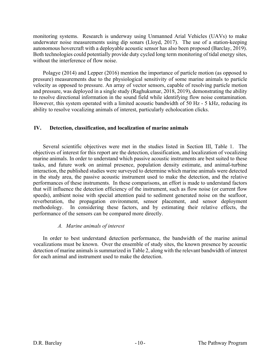monitoring systems. Research is underway using Unmanned Arial Vehicles (UAVs) to make underwater noise measurements using dip sonars (Lloyd, 2017). The use of a station-keeping autonomous hovercraft with a deployable acoustic sensor has also been proposed (Barclay, 2019). Both technologies could potentially provide duty cycled long term monitoring of tidal energy sites, without the interference of flow noise.

Polagye (2014) and Lepper (2016) mention the importance of particle motion (as opposed to pressure) measurements due to the physiological sensitivity of some marine animals to particle velocity as opposed to pressure. An array of vector sensors, capable of resolving particle motion and pressure, was deployed in a single study (Raghukumar, 2018, 2019), demonstrating the ability to resolve directional information in the sound field while identifying flow noise contamination. However, this system operated with a limited acoustic bandwidth of 50 Hz - 5 kHz, reducing its ability to resolve vocalizing animals of interest, particularly echolocation clicks.

#### **IV. Detection, classification, and localization of marine animals**

Several scientific objectives were met in the studies listed in Section III, Table 1. The objectives of interest for this report are the detection, classification, and localization of vocalizing marine animals. In order to understand which passive acoustic instruments are best suited to these tasks, and future work on animal presence, population density estimate, and animal-turbine interaction, the published studies were surveyed to determine which marine animals were detected in the study area, the passive acoustic instrument used to make the detection, and the relative performances of these instruments. In these comparisons, an effort is made to understand factors that will influence the detection efficiency of the instrument, such as flow noise (or current flow speeds), ambient noise with special attention paid to sediment generated noise on the seafloor, reverberation, the propagation environment, sensor placement, and sensor deployment methodology. In considering these factors, and by estimating their relative effects, the performance of the sensors can be compared more directly.

#### *A. Marine animals of interest*

In order to best understand detection performance, the bandwidth of the marine animal vocalizations must be known. Over the ensemble of study sites, the known presence by acoustic detection of marine animals is summarized in Table 2, along with the relevant bandwidth of interest for each animal and instrument used to make the detection.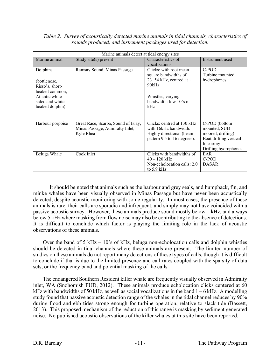| Marine animals detect at tidal energy sites |                                     |                              |                        |  |  |
|---------------------------------------------|-------------------------------------|------------------------------|------------------------|--|--|
| Marine animal                               | Study site( $s$ ) present           | Characteristics of           | Instrument used        |  |  |
|                                             |                                     | vocalizations                |                        |  |  |
| Dolphins                                    | Ramsay Sound, Minas Passage         | Clicks: with root mean       | C-POD                  |  |  |
|                                             |                                     | square bandwidths of         | Turbine mounted        |  |  |
| (bottlenose,                                |                                     | 23–54 kHz, centred at $\sim$ | hydrophones            |  |  |
| Risso's, short-                             |                                     | 90kHz                        |                        |  |  |
| beaked common,                              |                                     |                              |                        |  |  |
| Atlantic white-                             |                                     | Whistles, varying            |                        |  |  |
| sided and white-                            |                                     | bandwidth: low 10's of       |                        |  |  |
| beaked dolphin)                             |                                     | kHz                          |                        |  |  |
|                                             |                                     |                              |                        |  |  |
| Harbour porpoise                            | Great Race, Scarba, Sound of Islay, | Clicks: centred at 130 kHz   | C-POD (bottom          |  |  |
|                                             | Minas Passage, Admiralty Inlet,     | with 16kHz bandwidth.        | mounted, SUB           |  |  |
|                                             | Kyle Rhea                           | Highly directional (beam     | moored, drifting)      |  |  |
|                                             |                                     | pattern 9.5 to 16 degrees).  | Boat drifting vertical |  |  |
|                                             |                                     |                              | line array             |  |  |
|                                             |                                     |                              | Drifting hydrophones   |  |  |
| Beluga Whale                                | Cook Inlet                          | Clicks with bandwidths of    | EAR                    |  |  |
|                                             |                                     | $40 - 120$ kHz               | C-POD                  |  |  |
|                                             |                                     | Non-echolocation calls: 2.0  | <b>DASAR</b>           |  |  |
|                                             |                                     | to $5.9$ kHz                 |                        |  |  |

#### *Table 2. Survey of acoustically detected marine animals in tidal channels, characteristics of sounds produced, and instrument packages used for detection.*

It should be noted that animals such as the harbour and grey seals, and humpback, fin, and minke whales have been visually observed in Minas Passage but have never been acoustically detected, despite acoustic monitoring with some regularity. In most cases, the presence of these animals is rare, their calls are sporadic and infrequent, and simply may not have coincided with a passive acoustic survey. However, these animals produce sound mostly below 1 kHz, and always below 5 kHz where masking from flow noise may also be contributing to the absence of detections. It is difficult to conclude which factor is playing the limiting role in the lack of acoustic observations of these animals.

Over the band of 5 kHz – 10's of kHz, beluga non-echolocation calls and dolphin whistles should be detected in tidal channels where these animals are present. The limited number of studies on these animals do not report many detections of these types of calls, though it is difficult to conclude if that is due to the limited presence and call rates coupled with the sparsity of data sets, or the frequency band and potential masking of the calls.

The endangered Southern Resident killer whale are frequently visually observed in Admiralty inlet, WA (Snohomish PUD, 2012). These animals produce echolocation clicks centered at 60 kHz with bandwidths of 50 kHz, as well as social vocalizations in the band  $1 - 6$  kHz. A modelling study found that passive acoustic detection range of the whales in the tidal channel reduces by 90% during flood and ebb tides strong enough for turbine operation, relative to slack tide (Bassett, 2013). This proposed mechanism of the reduction of this range is masking by sediment generated noise. No published acoustic observations of the killer whales at this site have been reported.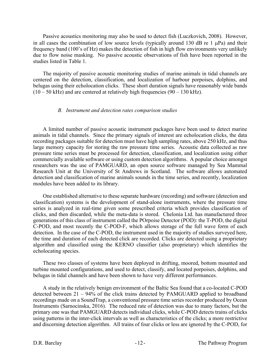Passive acoustics monitoring may also be used to detect fish (Luczkovich, 2008). However, in all cases the combination of low source levels (typically around 130 dB re 1  $\mu$ Pa) and their frequency band (100's of Hz) makes the detection of fish in high flow environments very unlikely due to flow noise masking. No passive acoustic observations of fish have been reported in the studies listed in Table 1.

The majority of passive acoustic monitoring studies of marine animals in tidal channels are centered on the detection, classification, and localization of harbour porpoises, dolphins, and belugas using their echolocation clicks. These short duration signals have reasonably wide bands  $(10 - 50 \text{ kHz})$  and are centered at relatively high frequencies  $(90 - 130 \text{ kHz})$ .

#### *B. Instrument and detection rates comparison studies*

A limited number of passive acoustic instrument packages have been used to detect marine animals in tidal channels. Since the primary signals of interest are echolocation clicks, the data recording packages suitable for detection must have high sampling rates, above 250 kHz, and thus large memory capacity for storing the raw pressure time series. Acoustic data collected as raw pressure time series must be processed for detection, classification, and localization using either commercially available software or using custom detection algorithms. A popular choice amongst researchers was the use of PAMGUARD, an open source software managed by Sea Mammal Research Unit at the University of St Andrews in Scotland. The software allows automated detection and classification of marine animals sounds in the time series, and recently, localization modules have been added to its library.

One established alternative to these separate hardware (recording) and software (detection and classification) systems is the development of stand-alone instruments, where the pressure time series is analyzed in real-time given some prescribed criteria which provides classification of clicks, and then discarded, while the meta-data is stored. Chelonia Ltd. has manufactured three generations of this class of instrument called the POrpoise Detector (POD): the T-POD, the digital C-POD, and most recently the C-POD-F, which allows storage of the full wave form of each detection. In the case of the C-POD, the instrument used in the majority of studies surveyed here, the time and duration of each detected click are recorded. Clicks are detected using a proprietary algorithm and classified using the KERNO classifier (also proprietary) which identifies the echolocating species.

These two classes of systems have been deployed in drifting, moored, bottom mounted and turbine mounted configurations, and used to detect, classify, and located porpoises, dolphins, and belugas in tidal channels and have been shown to have very different performances.

A study in the relatively benign environment of the Baltic Sea found that a co-located C-POD detected between 21 – 94% of the click trains detected by PAMGUARD applied to broadband recordings made on a SoundTrap, a conventional pressure time series recorder produced by Ocean Instruments (Sarnocinska, 2016). The reduced rate of detection was due to many factors, but the primary one was that PAMGUARD detects individual clicks, while C-POD detects trains of clicks using patterns in the inter-click intervals as well as characteristics of the clicks; a more restrictive and discerning detection algorithm. All trains of four clicks or less are ignored by the C-POD, for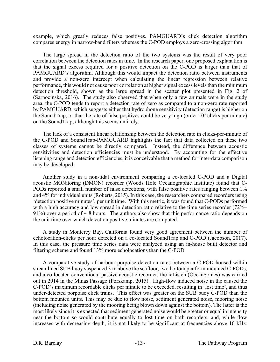example, which greatly reduces false positives. PAMGUARD's click detection algorithm compares energy in narrow-band filters whereas the C-POD employs a zero-crossing algorithm.

The large spread in the detection ratio of the two systems was the result of very poor correlation between the detection rates in time. In the research paper, one proposed explanation is that the signal excess required for a positive detection on the C-POD is larger than that of PAMGUARD's algorithm. Although this would impact the detection ratio between instruments and provide a non-zero intercept when calculating the linear regression between relative performance, this would not cause poor correlation at higher signal excess levels than the minimum detection threshold, shown as the large spread in the scatter plot presented in Fig. 2 of (Sarnocinska, 2016). The study also observed that when only a few animals were in the study area, the C-POD tends to report a detection rate of zero as compared to a non-zero rate reported by PAMGUARD, which suggests either that hydrophone sensitivity (detection range) is higher on the SoundTrap, or that the rate of false positives could be very high (order  $10<sup>3</sup>$  clicks per minute) on the SoundTrap, although this seems unlikely.

The lack of a consistent linear relationship between the detection rate in clicks-per-minute of the C-POD and SoundTrap-PAMGUARD highlights the fact that data collected on these two classes of systems cannot be directly compared. Instead, the difference between acoustic sensitivities and detection efficiencies must be understood. By accounting for the effective listening range and detection efficiencies, it is conceivable that a method for inter-data comparison may be developed.

Another study in a non-tidal environment comparing a co-located C-POD and a Digital acoustic MONitoring (DMON) recorder (Woods Hole Oceanographic Institute) found that C‐ PODs reported a small number of false detections, with false positive rates ranging between 1% and 4% for individual units (Roberts, 2015). In this case, the researchers compared recorders using 'detection positive minutes', per unit time. With this metric, it was found that C‐PODs performed with a high accuracy and low spread in detection ratio relative to the time series recorder (72%– 91%) over a period of  $\sim$  8 hours. The authors also show that this performance ratio depends on the unit time over which detection positive minutes are computed.

A study in Monterey Bay, California found very good agreement between the number of echolocation-clicks per hour detected on a co-located SoundTrap and C-POD (Jacobson, 2017). In this case, the pressure time series data were analyzed using an in-house built detector and filtering scheme and found 13% more echolocations than the C-POD.

A comparative study of harbour porpoise detection rates between a C-POD housed within streamlined SUB buoy suspended 3 m above the seafloor, two bottom platform mounted C-PODs, and a co-located conventional passive acoustic recorder, the icListen (OceanSonics) was carried out in 2014 in the Minas Passage (Porskamp, 2015). High-flow induced noise in the caused the C-POD's maximum recordable clicks per minute to be exceeded, resulting in 'lost time', and thus under-detected porpoise click trains. This effect was greater on the SUB buoy C-POD than the bottom mounted units. This may be due to flow noise, sediment generated noise, mooring noise (including noise generated by the mooring being blown down against the bottom). The latter is the most likely since it is expected that sediment generated noise would be greater or equal in intensity near the bottom so would contribute equally to lost time on both recorders, and, while flow increases with decreasing depth, it is not likely to be significant at frequencies above 10 kHz.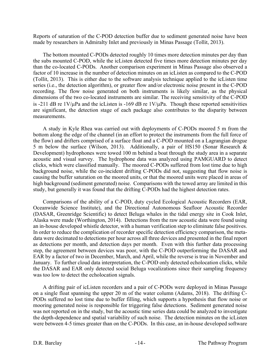Reports of saturation of the C-POD detection buffer due to sediment generated noise have been made by researchers in Admiralty Inlet and previously in Minas Passage (Tollit, 2013).

The bottom mounted C-PODs detected roughly 10 times more detection minutes per day than the subs mounted C-POD, while the icListen detected five times more detection minutes per day than the co-located C-PODs. Another comparison experiment in Minas Passage also observed a factor of 10 increase in the number of detection minutes on an icListen as compared to the C-POD (Tollit, 2013). This is either due to the software analysis technique applied to the icListen time series (i.e., the detection algorithm), or greater flow and/or electronic noise present in the C-POD recording. The flow noise generated on both instruments is likely similar, as the physical dimensions of the two co-located instruments are similar. The receiving sensitivity of the C-POD is -211 dB re  $1 \text{V}/\mu$ Pa and the icListen is -169 dB re  $1 \text{V}/\mu$ Pa. Though these reported sensitivities are significant, the detection stage of each package also contributes to the disparity between measurements.

A study in Kyle Rhea was carried out with deployments of C-PODs moored 5 m from the bottom along the edge of the channel (in an effort to protect the instruments from the full force of the flow) and drifters comprised of a surface float and a C-POD mounted on a Lagrangian drogue 5 m below the surface (Wilson, 2013). Additionally, a pair of HS150 (Sonar Research & Development) hydrophones were towed 100 m behind a boat through the study area in a separate acoustic and visual survey. The hydrophone data was analyzed using PAMGUARD to detect clicks, which were classified manually. The moored C-PODs suffered from lost time due to high background noise, while the co-incident drifting C-PODs did not, suggesting that flow noise is causing the buffer saturation on the moored units, or that the moored units were placed in areas of high background (sediment generated) noise. Comparisons with the towed array are limited in this study, but generally it was found that the drifting C-PODs had the highest detection rates.

Comparisons of the ability of a C-POD, duty cycled Ecological Acoustic Recorders (EAR, Oceanwide Science Institute), and the Directional Autonomous Seafloor Acoustic Recorder (DASAR, Greenridge Scientific) to detect Beluga whales in the tidal energy site in Cook Inlet, Alaska were made (Worthington, 2014). Detections from the raw acoustic data were found using an in-house developed whistle detector, with a human verification step to eliminate false positives. In order to reduce the complication of recorder specific detection efficiency comparison, the metadata were decimated to detections per hour across all three devices and presented in the final report as detections per month, and detection days per month. Even with this further data processing step, the agreement between devices was poor, with the C-POD outperforming the DASAR and EAR by a factor of two in December, March, and April, while the reverse is true in November and January. To further cloud data interpretation, the C-POD only detected echolocation clicks, while the DASAR and EAR only detected social Beluga vocalizations since their sampling frequency was too low to detect the echolocation signals.

A drifting pair of icListen recorders and a pair of C-PODs were deployed in Minas Passage on a single float spanning the upper 20 m of the water column (Adams, 2018). The drifting C-PODs suffered no lost time due to buffer filling, which supports a hypothesis that flow noise or mooring generated noise is responsible for triggering false detections. Sediment generated noise was not reported on in the study, but the acoustic time series data could be analyzed to investigate the depth-dependence and spatial variability of such noise. The detection minutes on the icListen were between 4-5 times greater than on the C-PODs. In this case, an in-house developed software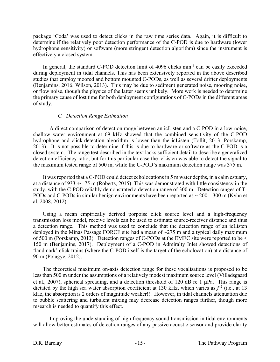package 'Coda' was used to detect clicks in the raw time series data. Again, it is difficult to determine if the relatively poor detection performance of the C-POD is due to hardware (lower hydrophone sensitivity) or software (more stringent detection algorithm) since the instrument is effectively a closed system.

In general, the standard C-POD detection limit of 4096 clicks min<sup>-1</sup> can be easily exceeded during deployment in tidal channels. This has been extensively reported in the above described studies that employ moored and bottom mounted C-PODs, as well as several drifter deployments (Benjamins, 2016, Wilson, 2013). This may be due to sediment generated noise, mooring noise, or flow noise, though the physics of the latter seems unlikely. More work is needed to determine the primary cause of lost time for both deployment configurations of C-PODs in the different areas of study.

#### *C. Detection Range Estimation*

A direct comparison of detection range between an icListen and a C-POD in a low-noise, shallow water environment at 69 kHz showed that the combined sensitivity of the C-POD hydrophone and click-detection algorithm is lower than the icListen (Tollit, 2013, Porskamp, 2013). It is not possible to determine if this is due to hardware or software as the C-POD is a closed system. The range test described in the text lacks sufficient detail to describe a generalized detection efficiency ratio, but for this particular case the icListen was able to detect the signal to the maximum tested range of 500 m, while the C-POD's maximum detection range was 375 m.

It was reported that a C-POD could detect echolocations in 5 m water depths, in a calm estuary, at a distance of 933 +/- 75 m (Roberts, 2015). This was demonstrated with little consistency in the study, with the C-POD reliably demonstrated a detection range of 300 m. Detection ranges of T-PODs and C-PODs in similar benign environments have been reported as  $\sim$  200 – 300 m (Kyhn et al. 2008, 2012).

Using a mean empirically derived porpoise click source level and a high-frequency transmission loss model, receive levels can be used to estimate source-receiver distance and thus a detection range. This method was used to conclude that the detection range of an icListen deployed in the Minas Passage FORCE site had a mean of  $\sim$ 275 m and a typical daily maximum of 500 m (Porskamp, 2013). Detection ranges of C-PODs at the EMEC site were reported to be < 150 m (Benjamins, 2017). Deployment of a C-POD in Admiralty Inlet showed detections of 'landmark' click trains (where the C-POD itself is the target of the echolocation) at a distance of 90 m (Polagye, 2012).

The theoretical maximum on-axis detection range for these vocalisations is proposed to be less than 500 m under the assumptions of a relatively modest maximum source level (Villadsgaard et al., 2007), spherical spreading, and a detection threshold of 120 dB re 1 µPa. This range is dictated by the high sea water absorption coefficient at 130 kHz, which varies as  $f^2$  (i.e., at 13 kHz, the absorption is 2 orders of magnitude weaker!). However, in tidal channels attenuation due to bubble scattering and turbulent mixing may decrease detection ranges further, though more research is needed to quantify this effect.

Improving the understanding of high frequency sound transmission in tidal environments will allow better estimates of detection ranges of any passive acoustic sensor and provide clarity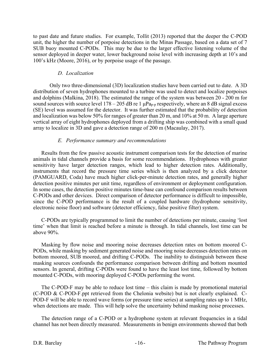to past date and future studies. For example, Tollit (2013) reported that the deeper the C-POD unit, the higher the number of porpoise detections in the Minas Passage, based on a data set of 7 SUB buoy mounted C-PODs. This may be due to the larger effective listening volume of the sensor deployed in deeper water, lower background noise level with increasing depth at 10's and 100's kHz (Moore, 2016), or by porpoise usage of the passage.

#### *D. Localization*

Only two three-dimensional (3D) localization studies have been carried out to date. A 3D distribution of seven hydrophones mounted to a turbine was used to detect and localize porpoises and dolphins (Malkina, 2018). The estimated the range of the system was between 20 - 200 m for sound sources with source level  $178 - 205$  dB re 1  $\mu$ Pa<sub>p-p</sub> respectively, where an 8 dB signal excess (SE) level was assumed for the detector. It was further estimated that the probability of detection and localization was below 50% for ranges of greater than 20 m, and 10% at 50 m. A large aperture vertical array of eight hydrophones deployed from a drifting ship was combined with a small quad array to localize in 3D and gave a detection range of 200 m (Macaulay, 2017).

#### *E. Performance summary and recommendations*

Results from the few passive acoustic instrument comparison tests for the detection of marine animals in tidal channels provide a basis for some recommendations. Hydrophones with greater sensitivity have larger detection ranges, which lead to higher detection rates. Additionally, instruments that record the pressure time series which is then analyzed by a click detector (PAMGUARD, Coda) have much higher click-per-minute detection rates, and generally higher detection positive minutes per unit time, regardless of environment or deployment configuration. In some cases, the detection positive minutes time-base can confound comparison results between C-PODs and other devices. Direct comparison of detector performance is difficult to impossible, since the C-POD performance is the result of a coupled hardware (hydrophone sensitivity, electronic noise floor) and software (detector efficiency, false positive filter) system.

C-PODs are typically programmed to limit the number of detections per minute, causing 'lost time' when that limit is reached before a minute is through. In tidal channels, lost time can be above 90%.

Masking by flow noise and mooring noise decreases detection rates on bottom moored C-PODs, while masking by sediment generated noise and mooring noise decreases detection rates on bottom moored, SUB moored, and drifting C-PODs. The inability to distinguish between these masking sources confounds the performance comparison between drifting and bottom mounted sensors. In general, drifting C-PODs were found to have the least lost time, followed by bottom mounted C-PODs, with mooring deployed C-PODs performing the worst.

The C-POD-F may be able to reduce lost time – this claim is made by promotional material (C-POD & C-POD-F.ppt retrieved from the Chelonia website) but is not clearly explained. C-POD-F will be able to record wave forms (or pressure time series) at sampling rates up to 1 MHz, when detections are made. This will help solve the uncertainty behind masking noise processes.

The detection range of a C-POD or a hydrophone system at relevant frequencies in a tidal channel has not been directly measured. Measurements in benign environments showed that both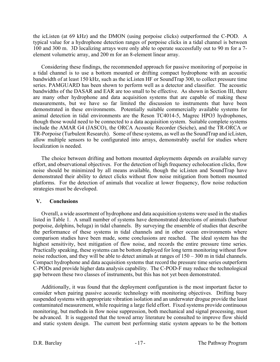the icListen (at 69 kHz) and the DMON (using porpoise clicks) outperformed the C-POD. A typical value for a hydrophone detection ranges of porpoise clicks in a tidal channel is between 100 and 300 m. 3D localizing arrays were only able to operate successfully out to 90 m for a 7 element volumetric array, and 200 m for an 8-element linear array.

Considering these findings, the recommended approach for passive monitoring of porpoise in a tidal channel is to use a bottom mounted or drifting compact hydrophone with an acoustic bandwidth of at least 150 kHz, such as the icListen HF or SoundTrap 300, to collect pressure time series. PAMGUARD has been shown to perform well as a detector and classifier. The acoustic bandwidths of the DASAR and EAR are too small to be effective. As shown in Section III, there are many other hydrophone and data acquisition systems that are capable of making these measurements, but we have so far limited the discussion to instruments that have been demonstrated in these environments. Potentially suitable commercially available systems for animal detection in tidal environments are the Reson TC4014-5, Magrec HPO3 hydrophones, though those would need to be connected to a data acquisition system. Suitable complete systems include the AMAR G4 (JASCO), the ORCA Acoustic Recorder (Seiche), and the TR-ORCA or TR-Porpoise (Turbulent Research). Some of these systems, as well as the SoundTrap and icListen, allow multiple sensors to be configurated into arrays, demonstrably useful for studies where localization is needed.

The choice between drifting and bottom mounted deployments depends on available survey effort, and observational objectives. For the detection of high frequency echolocation clicks, flow noise should be minimized by all means available, though the icListen and SoundTrap have demonstrated their ability to detect clicks without flow noise mitigation from bottom mounted platforms. For the detection of animals that vocalize at lower frequency, flow noise reduction strategies must be developed.

#### **V. Conclusions**

Overall, a wide assortment of hydrophone and data acquisition systems were used in the studies listed in Table 1. A small number of systems have demonstrated detections of animals (harbour porpoise, dolphins, beluga) in tidal channels. By surveying the ensemble of studies that describe the performance of these systems in tidal channels and in other ocean environments where comparison studies have been made, some conclusions are reached. The ideal system has the highest sensitivity, best mitigation of flow noise, and records the entire pressure time series. Practically speaking, these systems can be bottom deployed for long term monitoring without flow noise reduction, and they will be able to detect animals at ranges of 150 – 300 m in tidal channels. Compact hydrophone and data acquisition systems that record the pressure time series outperform C-PODs and provide higher data analysis capability. The C-POD-F may reduce the technological gap between these two classes of instruments, but this has not yet been demonstrated.

Additionally, it was found that the deployment configuration is the most important factor to consider when pairing passive acoustic technology with monitoring objectives. Drifting buoy suspended systems with appropriate vibration isolation and an underwater drogue provide the least contaminated measurement, while requiring a large field effort. Fixed systems provide continuous monitoring, but methods in flow noise suppression, both mechanical and signal processing, must be advanced. It is suggested that the towed array literature be consulted to improve flow shield and static system design. The current best performing static system appears to be the bottom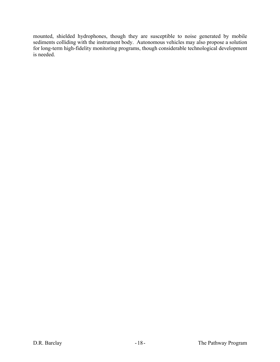mounted, shielded hydrophones, though they are susceptible to noise generated by mobile sediments colliding with the instrument body. Autonomous vehicles may also propose a solution for long-term high-fidelity monitoring programs, though considerable technological development is needed.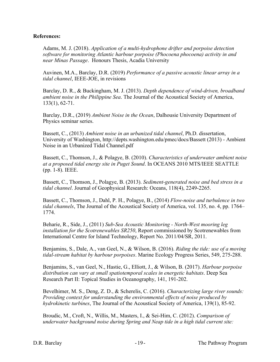#### **References:**

Adams, M. J. (2018). *Application of a multi-hydrophone drifter and porpoise detection software for monitoring Atlantic harbour porpoise (Phocoena phocoena) activity in and near Minas Passage*. Honours Thesis, Acadia University

Auvinen, M.A., Barclay, D.R. (2019) *Performance of a passive acoustic linear array in a tidal channel*, IEEE-JOE, in revisions

Barclay, D. R., & Buckingham, M. J. (2013). *Depth dependence of wind-driven, broadband ambient noise in the Philippine Sea*. The Journal of the Acoustical Society of America, 133(1), 62-71.

Barclay, D.R., (2019) *Ambient Noise in the Ocean*, Dalhousie University Department of Physics seminar series.

Bassett, C., (2013) *Ambient noise in an urbanized tidal channel*, Ph.D. dissertation, University of Washington, http://depts.washington.edu/pmec/docs/Bassett (2013) - Ambient Noise in an Urbanized Tidal Channel.pdf

Bassett, C., Thomson, J., & Polagye, B. (2010). *Characteristics of underwater ambient noise at a proposed tidal energy site in Puget Sound*. In OCEANS 2010 MTS/IEEE SEATTLE (pp. 1-8). IEEE.

Bassett, C., Thomson, J., Polagye, B. (2013). *Sediment‐generated noise and bed stress in a tidal channel*. Journal of Geophysical Research: Oceans, 118(4), 2249-2265.

Bassett, C., Thomson, J., Dahl, P. H., Polagye, B., (2014) *Flow-noise and turbulence in two tidal channels*, The Journal of the Acoustical Society of America, vol. 135, no. 4, pp. 1764– 1774.

Beharie, R., Side, J., (2011) *Sub-Sea Acoustic Monitoring - North-West mooring leg installation for the Scotrenewables SR250*, Report commissioned by Scotrenewables from International Centre for Island Technology, Report No. 2011/04/SR, 2011.

Benjamins, S., Dale, A., van Geel, N., & Wilson, B. (2016). *Riding the tide: use of a moving tidal-stream habitat by harbour porpoises*. Marine Ecology Progress Series, 549, 275-288.

Benjamins, S., van Geel, N., Hastie, G., Elliott, J., & Wilson, B. (2017). *Harbour porpoise distribution can vary at small spatiotemporal scales in energetic habitats*. Deep Sea Research Part II: Topical Studies in Oceanography, 141, 191-202.

Bevelhimer, M. S., Deng, Z. D., & Scherelis, C. (2016). *Characterizing large river sounds: Providing context for understanding the environmental effects of noise produced by hydrokinetic turbines*, The Journal of the Acoustical Society of America, 139(1), 85-92.

Broudic, M., Croft, N., Willis, M., Masters, I., & Sei-Him, C. (2012). *Comparison of underwater background noise during Spring and Neap tide in a high tidal current site:*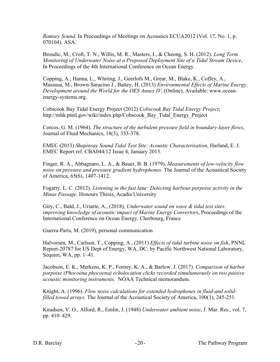*Ramsey Sound*. In Proceedings of Meetings on Acoustics ECUA2012 (Vol. 17, No. 1, p. 070104). ASA.

Broudic, M., Croft, T. N., Willis, M. R., Masters, I., & Cheong, S. H. (2012). *Long Term Monitoring of Underwater Noise at a Proposed Deployment Site of a Tidal Stream Device*, In Proceedings of the 4th International Conference on Ocean Energy.

Copping, A., Hanna, L., Whiting, J., Geerlofs M., Grear, M., Blake, K., Coffey, A., Massaua, M., Brown-Saracino J., Battey, H. (2013) *Environmental Effects of Marine Energy Development around the World for the OES Annex IV*, (Online), Available: www.oceanenergy-systems.org.

Cobscook Bay Tidal Energy Project (2012) *Cobscook Bay Tidal Energy Project*; http://mhk.pnnl.gov/wiki/index.php/Cobscook\_Bay\_Tidal\_Energy\_Project

Corcos, G. M. (1964). *The structure of the turbulent pressure field in boundary-layer flows*, Journal of Fluid Mechanics, 18(3), 353-378.

EMEC (2013) *Shapinsay Sound Tidal Test Site: Acoustic Characterisation*, Harland, E. J. EMEC Report ref. CBA044/12 Issue 4, January 2013.

Finger, R. A., Abbagnaro, L. A., & Bauer, B. B. (1979). *Measurements of low‐velocity flow noise on pressure and pressure gradient hydrophones*. The Journal of the Acoustical Society of America, 65(6), 1407-1412.

Fogarty, L. C. (2012). *Listening in the fast lane: Detecting harbour porpoise activity in the Minas Passage.* Honours Thesis, Acadia University

Giry, C., Bald, J., Uriarte, A., (2018), *Underwater sound on wave & tidal test sites: improving knowledge of acoustic impact of Marine Energy Convertors*, Proceedings of the International Conference on Ocean Energy, Cherbourg, France

Guerra-Paris, M. (2019), personal communication

Halvorsen, M., Carlson, T., Copping, A., (2011) *Effects of tidal turbine noise on fish*, PNNL Report-20787 for US Dept of Energy, WA, DC: by Pacific Northwest National Laboratory, Sequim, WA, pp. 1–41.

Jacobson, E. K., Merkens, K. P., Forney, K. A., & Barlow, J. (2017). *Comparison of harbor porpoise (Phocoena phocoena) echolocation clicks recorded simultaneously on two passive acoustic monitoring instruments*. NOAA Technical memorandum.

Knight, A. (1996). *Flow noise calculations for extended hydrophones in fluid‐and solid‐ filled towed arrays*. The Journal of the Acoustical Society of America, 100(1), 245-251.

Knudsen, V. O., Alford, R., Emlin, J. (1948) *Underwater ambient noise*, J. Mar. Res., vol. 7, pp. 410–429.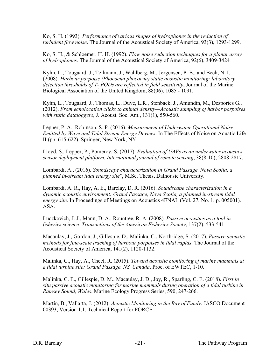Ko, S. H. (1993). *Performance of various shapes of hydrophones in the reduction of turbulent flow noise*. The Journal of the Acoustical Society of America, 93(3), 1293-1299.

Ko, S. H., & Schloemer, H. H. (1992). *Flow noise reduction techniques for a planar array of hydrophones*. The Journal of the Acoustical Society of America, 92(6), 3409-3424

Kyhn, L., Tougaard, J., Teilmann, J., Wahlberg, M., Jørgensen, P. B., and Bech, N. I. (2008). *Harbour porpoise (Phocoena phocoena) static acoustic monitoring: laboratory detection thresholds of T‐ PODs are reflected in field sensitivity*, Journal of the Marine Biological Association of the United Kingdom, 88(06), 1085 ‐ 1091.

Kyhn, L., Tougaard, J., Thomas, L., Duve, L.R., Stenback, J., Amundin, M., Desportes G., (2012). *From echolocation clicks to animal density—Acoustic sampling of harbor porpoises with static dataloggers*, J. Acoust. Soc. Am., 131(1), 550‐560.

Lepper, P. A., Robinson, S. P. (2016). *Measurement of Underwater Operational Noise Emitted by Wave and Tidal Stream Energy Devices*. In The Effects of Noise on Aquatic Life II (pp. 615-622). Springer, New York, NY.

Lloyd, S., Lepper, P., Pomeroy, S. (2017). *Evaluation of UAVs as an underwater acoustics sensor deployment platform. International journal of remote sensing*, 38(8-10), 2808-2817.

Lombardi, A., (2016). *Soundscape characterization in Grand Passage, Nova Scotia, a planned in-stream tidal energy site*", M.Sc. Thesis, Dalhousie University.

Lombardi, A. R., Hay, A. E., Barclay, D. R. (2016). *Soundscape characterization in a dynamic acoustic environment: Grand Passage, Nova Scotia, a planned in-stream tidal energy site*. In Proceedings of Meetings on Acoustics 4ENAL (Vol. 27, No. 1, p. 005001). ASA.

Luczkovich, J. J., Mann, D. A., Rountree, R. A. (2008). *Passive acoustics as a tool in fisheries science. Transactions of the American Fisheries Society*, 137(2), 533-541.

Macaulay, J., Gordon, J., Gillespie, D., Malinka, C., Northridge, S. (2017). *Passive acoustic methods for fine-scale tracking of harbour porpoises in tidal rapids*. The Journal of the Acoustical Society of America, 141(2), 1120-1132.

Malinka, C., Hay, A., Cheel, R. (2015). *Toward acoustic monitoring of marine mammals at a tidal turbine site: Grand Passage, NS, Canada*. Proc. of EWTEC, 1-10.

Malinka, C. E., Gillespie, D. M., Macaulay, J. D., Joy, R., Sparling, C. E. (2018). *First in situ passive acoustic monitoring for marine mammals during operation of a tidal turbine in Ramsey Sound, Wales*. Marine Ecology Progress Series, 590, 247-266.

Martin, B., Vallarta, J. (2012). *Acoustic Monitoring in the Bay of Fundy*. JASCO Document 00393, Version 1.1. Technical Report for FORCE.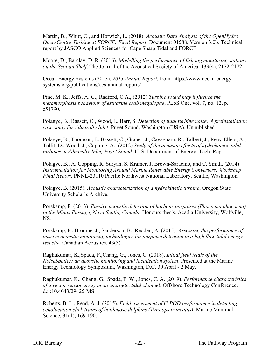Martin, B., Whitt, C., and Horwich, L. (2018). *Acoustic Data Analysis of the OpenHydro Open-Centre Turbine at FORCE: Final Report*. Document 01588, Version 3.0b. Technical report by JASCO Applied Sciences for Cape Sharp Tidal and FORCE

Moore, D., Barclay, D. R. (2016). *Modelling the performance of fish tag monitoring stations on the Scotian Shelf*. The Journal of the Acoustical Society of America, 139(4), 2172-2172.

Ocean Energy Systems (2013), *2013 Annual Report*, from: https://www.ocean-energysystems.org/publications/oes-annual-reports/

Pine, M. K., Jeffs, A. G., Radford, C.A., (2012) *Turbine sound may influence the metamorphosis behaviour of estuarine crab megalopae*, PLoS One, vol. 7, no. 12, p. e51790.

Polagye, B., Bassett, C., Wood, J., Barr, S. *Detection of tidal turbine noise: A preinstallation case study for Admiralty Inlet*. Puget Sound, Washington (USA). Unpublished

Polagye, B., Thomson, J., Bassett, C., Graber, J., Cavagnaro, R., Talbert, J., Reay-Ellers, A., Tollit, D., Wood, J., Copping, A., (2012) *Study of the acoustic effects of hydrokinetic tidal turbines in Admiralty Inlet, Puget Sound*, U. S. Department of Energy, Tech. Rep.

Polagye, B., A. Copping, R. Suryan, S. Kramer, J. Brown-Saracino, and C. Smith. (2014) *Instrumentation for Monitoring Around Marine Renewable Energy Converters: Workshop Final Report*. PNNL-23110 Pacific Northwest National Laboratory, Seattle, Washington.

Polagye, B. (2015). *Acoustic characterization of a hydrokinetic turbine*, Oregon State University Scholar's Archive.

Porskamp, P. (2013). *Passive acoustic detection of harbour porpoises (Phocoena phocoena) in the Minas Passage, Nova Scotia, Canada*. Honours thesis, Acadia University, Wolfville, NS.

Porskamp, P., Broome, J., Sanderson, B., Redden, A. (2015). *Assessing the performance of passive acoustic monitoring technologies for porpoise detection in a high flow tidal energy test site*. Canadian Acoustics, 43(3).

Raghukumar, K.,Spada, F.,Chang, G., Jones, C. (2018). *Initial field trials of the NoiseSpotter: an acoustic monitoring and localization system*. Presented at the Marine Energy Technology Symposium, Washington, D.C. 30 April - 2 May.

Raghukumar, K., Chang, G., Spada, F. W., Jones, C. A. (2019). *Performance characteristics of a vector sensor array in an energetic tidal channel*. Offshore Technology Conference. doi:10.4043/29425-MS

Roberts, B. L., Read, A. J. (2015). *Field assessment of C‐POD performance in detecting echolocation click trains of bottlenose dolphins (Tursiops truncatus)*. Marine Mammal Science, 31(1), 169-190.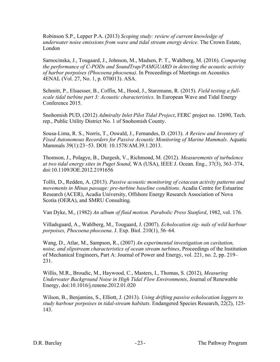Robinson S.P., Lepper P.A. (2013) *Scoping study: review of current knowledge of underwater noise emissions from wave and tidal stream energy device*. The Crown Estate, London

Sarnocinska, J., Tougaard, J., Johnson, M., Madsen, P. T., Wahlberg, M. (2016). *Comparing the performance of C-PODs and SoundTrap/PAMGUARD in detecting the acoustic activity of harbor porpoises (Phocoena phocoena)*. In Proceedings of Meetings on Acoustics 4ENAL (Vol. 27, No. 1, p. 070013). ASA.

Schmitt, P., Elsaesser, B., Coffin, M., Hood, J., Starzmann, R. (2015). *Field testing a fullscale tidal turbine part 3: Acoustic characteristics*. In European Wave and Tidal Energy Conference 2015.

Snohomish PUD, (2012) *Admiralty Inlet Pilot Tidal Project*, FERC project no. 12690, Tech. rep., Public Utility District No. 1 of Snohomish County.

Sousa-Lima, R. S., Norris, T., Oswald, J., Fernandes, D. (2013). *A Review and Inventory of Fixed Autonomous Recorders for Passive Acoustic Monitoring of Marine Mammals*. Aquatic Mammals 39(1):23−53. DOI: 10.1578/AM.39.1.2013.

Thomson, J., Polagye, B., Durgesh, V., Richmond, M. (2012). *Measurements of turbulence at two tidal energy sites in Puget Sound*, WA (USA), IEEE J. Ocean. Eng., 37(3), 363–374, doi:10.1109/JOE.2012.2191656

Tollit, D., Redden, A. (2013). *Passive acoustic monitoring of cetacean activity patterns and movements in Minas passage: pre-turbine baseline conditions*. Acadia Centre for Estuarine Research (ACER), Acadia University, Offshore Energy Research Association of Nova Scotia (OERA), and SMRU Consulting.

Van Dyke, M., (1982) *An album of fluid motion. Parabolic Press Stanford*, 1982, vol. 176.

Villadsgaard, A., Wahlberg, M., Tougaard, J. (2007). *Echolocation sig- nals of wild harbour porpoises, Phocoena phocoena*. J. Exp. Biol. 210(1), 56–64.

Wang, D., Atlar, M., Sampson, R., (2007) *An experimental investigation on cavitation, noise, and slipstream characteristics of ocean stream turbines*, Proceedings of the Institution of Mechanical Engineers, Part A: Journal of Power and Energy, vol. 221, no. 2, pp. 219– 231.

Willis, M.R., Broudic, M., Haywood, C., Masters, I., Thomas, S. (2012), *Measuring Underwater Background Noise in High Tidal Flow Environments*, Journal of Renewable Energy, doi:10.1016/j.renene.2012.01.020

Wilson, B., Benjamins, S., Elliott, J. (2013). *Using drifting passive echolocation loggers to study harbour porpoises in tidal-stream habitats*. Endangered Species Research, 22(2), 125- 143.